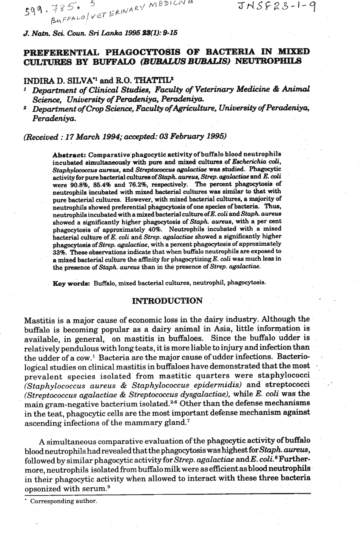$599.785*$ <br>BUFFALO VET ERINARY MEDICIVE

 $JNSF23-1-9$ 

*J.* **N&** *Sci.* **Coun. Sri Lunka 1996 %S(lJ: 9-16** 

# **PREFERENTIAL PHAGOCYTOSIS OF BACTERIA IN MIXED CULTURES BY BUFFALO** *(BUBALUS BUBALIS)* NEUTROPHILS

# **INDIRA D. SILVA<sup>\*1</sup> and <b>R.O. THATTIL2**

*Department of Clinical Studies, Faculty of Veterinary Medicine* & *Animal*  Science, University of Peradeniya, Peradeniya.

<sup>2</sup> Department of Crop Science, Faculty of Agriculture, University of Peradeniya, *Peradeniya.* 

*(Received* : *<sup>17</sup>***March** *1994; accepkd:* **03** *Febrwry 1995)* 

Abstract: Comparative phagocytic activity of buffalo blood neutrophils incubated simultaneously with pure and mixed cultures of *Escherichia coli*, Staphylococcus aureus, and *Streptococcus agalactiae* was studied. Phagocytic activity for pure bacterial cultures of *Staph. aureua, Strep. agahctiae* and *E.* **di** were **90.8%, 86.4%** and **76.246,** respectively. The percent phagocytosis of neutrophils incubated with **mixed** bacterial cultures **was** similar to that with pure bacterial cultures. However, with mixed bacterial cultures, a majority of neutrophils showed preferential phagocytosis of one species of bacteria. Thus, neutrophils incubated with a mixed bacterial culture of E. coli and Staph. aureus showed a significantly higher phagocytosis of *Staph rrureus, with* **a** *per* cent phagocytosia of approximately **40%.** Neutrophils incubated **with** a mixed bacterial culture of E. coli and *Strep. agalactiae* showed a significantly higher phagocytosis of *Strep. agalactiae*, with a percent phagocytosis of approximately 33%. These observations **indicate** that when buffalo neutrophils **are** exposed to a **mixed** bacterial culture the &ity for phagocytizingE. **&li was** much lees in the presence of *Staph. aurells* **than** in the presence of *Strep.* **agalactiae.** 

Key words: Buffalo, mixed bacterial cultures, neutrophil, phagocytosis.

## **INTRODUCTION** .'

Mastitis is a major cause of economic loss in the dairy industry. Although the buffalo is becoming popular as a dairy animal in Asia, little infomation is available, in general, on mastitis in buffaloes. Since the buffalo udder is relatively pendulous with long teats, it is more liable to injury and infection than the udder of a cow.<sup>1</sup> Bacteria are the major cause of udder infections. Bacterio-<br>logical studies on clinical mastitis in buffaloes have demonstrated that the most prevalent species isolated from mastitic quarters were staphylococci *(Staphylococcus aureus* & *Staphylococcur epidermidis)* and streptococci ,' *(Streptococcus agalactiae* & *Streptococcus dysgalactiae),* while *E. coli* was the main gram-negative bacterium isolated.26 Other than the defense mechanisms in the teat, phagocytic cells are the most important defense mechanism against ascending infections of the mammary gland.'

A simultaneous comparative evaluation of the phagocytic activity of buffalo ' blood neutrophils had revealed that the phagocytosis was highest for Staph. *aureus*, followed by similar phagocytic activity for *Strep. agalactiae* and E. coli.<sup>8</sup> Furtherfollowed by similar phagocytic activity for *Strep. agalactuae* and *E. col*. " **Further-**<br>more, neutrophils isolated from buffalo milk were as efficient as blood neutrophils<br>in their phagocytic activity when allowed to i in their phagocytic activity when allowed to interact with these three bacteria

Corresponding author.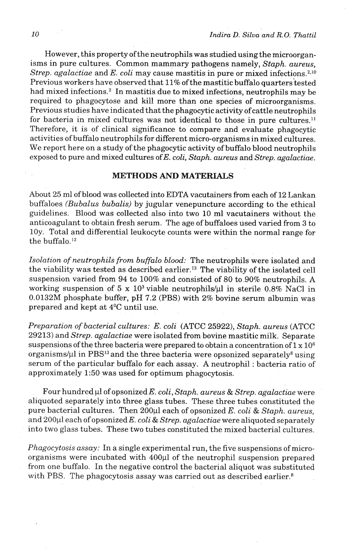However, this property of the neutrophils was studied using the microorganisms in pure cultures. Common mammary pathogens namely, *Staph. aureus, Strep. agalactiae* and *E. coli* may cause mastitis in pure or mixed infections.<sup>2,10</sup> Previous workers have observed that 11% of the mastitic buffalo quarters tested had mixed infections.<sup>2</sup> In mastitis due to mixed infections, neutrophils may be required to phagocytose and kill more than one species of microorganisms. Previous studies have indicated that the phagocytic activity of cattle neutrophils for bacteria in mixed cultures was not identical to those in pure cultures.<sup>11</sup> Therefore, it is of clinical significance to compare and evaluate phagocytic activities of buffalo neutrophils for different micro-organisms in mixed cultures. We report here on a study of the phagocytic activity of buffalo blood neutrophils exposed to pure and mixed cultures of E. *coli, Staph. aureus* and *Strep. agalactiae.* 

# **METHODS AND MATERIALS**

About 25 ml of blood was collected into EDTA vacutainers from each of 12 Lankan buffaloes *(Bubalus bubalis)* by jugular venepuncture according to the ethical guidelines. Blood was collected also into two **10** ml vacutainers without the anticoagulant to obtain fresh serum. The age of buffaloes used varied from **3** to 10y. Total and differential leukocyte counts were within the normal range for the buffalo.<sup>12</sup>

*Isolation of neutrophils from buffalo blood:* The neutrophils were isolated and the viability was tested as described earlier.13 The viability of the isolated cell suspension varied from 94 to 100% and consisted of 80 to.90% neutrophils. **A**  working suspension of  $5 \times 10^3$  viable neutrophils/ul in sterile 0.8% NaCl in 0.0132M phosphate buffer, pH 7.2 (PBS) with *2%* bovine serum albumin was prepared and kept at 4<sup>o</sup>C until use.

*Preparation of bacterial cultures: E. coli* (ATCC 25922), *Staph. aureus* (ATCC 29213) and *Strep. agalactiae* were isolated from bovine mastitic milk. Separate suspensions of the three bacteria were prepared to obtain a concentration of  $1 \times 10^6$ organisms/ $\mu$ l in PBS<sup>13</sup> and the three bacteria were opsonized separately<sup>8</sup> using serum of the particular buffalo for each assay. A neutrophil : bacteria ratio of approximately 1:50 was used for optimum phagocytosis.

Four hundred pl of opsonized *E. coli, Staph. aureus* & *Strep. agalactiae* were aliquoted separately into three glass tubes. These three tubes constituted the pure bacterial cultures. Then 200 $\mu$ l each of opsonized *E. coli & Staph. aureus,* and 200µl each of opsonized E. *coli & Strep. agalactiae* were aliquoted separately into two glass tubes. These two tubes constituted the mixed bacterial cultures.

*Phagocytosis assay:* In a single experimental run, the five suspensions of microorganisms were incubated with 400 $\mu$ l of the neutrophil suspension prepared from one buffalo. In the negative control the bacterial aliquot was substituted with PBS. The phagocytosis assay was carried out as described earlier.<sup>8</sup>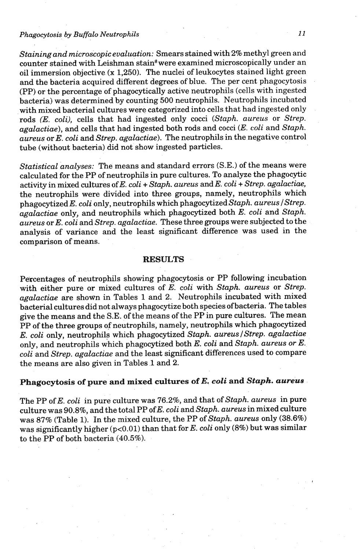### **Phagocytosis by Buffalo Neutrophils**

*Staining and microscopic evaluation:* Smears stained with *2%* methyl green and counter stained with Leishman stain<sup>8</sup> were examined microscopically under an oil immersion objective (x *1,250).* The nuclei of leukocytes stained light green and the bacteria acquired different degrees of blue. The per cent phagocytosis (PP) or the percentage of phagocytically active neutrophils (cells with ingested bacteria) was determined by counting *500* neutrophils. Neutrophils incubated with mixed bacterial cultures were categorized into cells that had ingested only rods (E. *coli),* cells that had ingested only cocci *(Staph. aureus* or *Strep. agalactiae),* and cells that had ingested both rods and cocci (E. *coli* and *Staph. aureus or E. coli and Strep. agalactiae*). The neutrophils in the negative control tube (without bacteria) did not show ingested particles.

*Statistical analyses:* The means and standard errors (S.E.) of the means were calculated for the PP of neutrophils in pure cultures. To analyze the phagocytic activity in mixed cultures of E. *coli* + *Staph. aureus* and *E. coli* + *Strep. agalactiae,*  the neutrophils were divided into three groups, namely, neutrophils which phagocytized E. *coli* only, neutrophils which phagocytized *Staph. aureus /Strep. agalactiae* only, and neutrophils which phagocytized both E. *coli* and *Staph. aureus* or *E. coli* and *Strep. agalactiae.* These three groups were subjected to the analysis of variance and the least significant difference was used in the comparison of means.

#### **RESULTS**

Percentages of neutrophils showing phagocytosis or PP following incubation with either pure or mixed cultures of E. *coli* with *Staph. aureus* or *Strep. agalactiae* are shown in Tables *1* and 2. Neutrophils incubated with mixed bacterial cultures did not always phagocytize both species of bacteria. The tables give the means and the S.E. of the means of the PP in pure cultures. The mean PP of the three groups of neutrophils, namely, neutrophils which phagocytized E. *coli* only, neutrophils which phagocytized *Staph. aureuslStrep. agalactiae*  only, and neutrophils which phagocytized both E. *coli* and *Staph. aureus or E. coli* and *Strep. agalactiae* and the least significant differences used to compare the means are also given in Tables *1* and 2.

# **Phagocytosis of pure and mixed cultures of E. coli and** *Staph. aureus*

The PP of E. *coli* in pure culture was 76.2%, and that of *Staph. aureus* in pure culture was **90.8%,** and the total PP ofE. *coli* and *Staph. aureus* in mixed culture was 87% (Table *1).* In the mixed culture, the PP of *Staph. aureus* only *(38.6%)*  was significantly higher *(p<0.01)* than that for E. *coli* only *(8%)* but was similar to the PP of both bacteria *(40.5%).*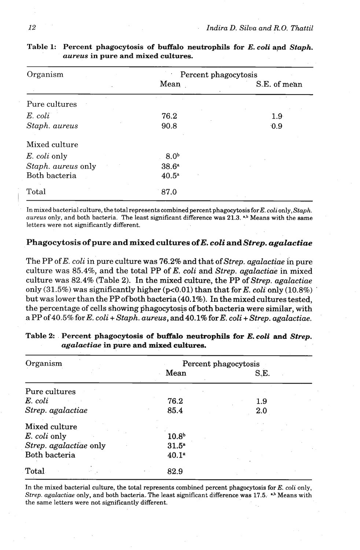| Organism           | Percent phagocytosis |                  |  |
|--------------------|----------------------|------------------|--|
|                    | Mean                 | S.E. of mean     |  |
| Pure cultures      |                      |                  |  |
| $E.$ coli          | 76.2                 | 1.9 <sup>°</sup> |  |
| Staph. aureus      | 90.8                 | 0.9              |  |
| Mixed culture      |                      |                  |  |
| E. coli only       | 8.0 <sup>b</sup>     |                  |  |
| Staph. aureus only | 38.6 <sup>a</sup>    |                  |  |
| Both bacteria      | 40.5 <sup>a</sup>    |                  |  |
| Total              | 87.0                 |                  |  |

| Table 1: Percent phagocytosis of buffalo neutrophils for E. coli and Staph. |  |  |
|-----------------------------------------------------------------------------|--|--|
| <i>aureus</i> in pure and mixed cultures.                                   |  |  |

In mixed bacterial culture, the total represents combined percent phagocytosis for E. coli only, Staph. aureus only, and both bacteria. The least significant difference was 21.3. <sup>\*\*</sup> Means with the same letters were not significantly different.

## Phagocytosis of pure and mixed cultures of E. *coli* and Strep. agalactiae

The PP of E. *coli* in pure culture was 76.2% and that of *Strep. agalactiae* in pure culture was 85.4%, and the total PP of E. *coli* and *Strep. agalactiae* in mixed culture was 82.4% (Table **2).** In the mixed culture, the PP of *Strep. agalactiae*  only (31.5%) was significantly higher (pc0.01) than that for E. *coli* only (10.8%) ' but was lower than the PP of both bacteria (40.1%). In the mixed cultures tested, the percentage of cells showing phagocytosis of both bacteria were similar, with a PP of 40.5% for E. *coli* + *Staph. aureus,* and 40.1% for E. *coli* + *Strep. agalactiae.* 

| Organism               | Percent phagocytosis |      |  |
|------------------------|----------------------|------|--|
|                        | Mean                 | S.E. |  |
| Pure cultures          |                      |      |  |
| E. coli                | 76.2                 | 1.9  |  |
| Strep. agalactiae      | 85.4                 | 2.0  |  |
| Mixed culture          |                      |      |  |
| E. coli only           | 10.8 <sup>b</sup>    |      |  |
| Strep. agalactiae only | $31.5^{\circ}$       |      |  |
| Both bacteria          | 40.1 <sup>a</sup>    |      |  |
| Total                  | 82.9                 |      |  |

**Table 2: Percent phagocytosis of buffalo neutrophils for E.** *coli and Strep. agalactiae* **in pure and mixed cultures.** 

In the mixed bacterial culture, the total represents combined percent phagocytosis for E. coli only, Strep. agalactiae only, and both bacteria. The least significant difference was  $17.5$ .  $\overset{\text{a,b}}{ }$  Means with the same letters were not significantly different.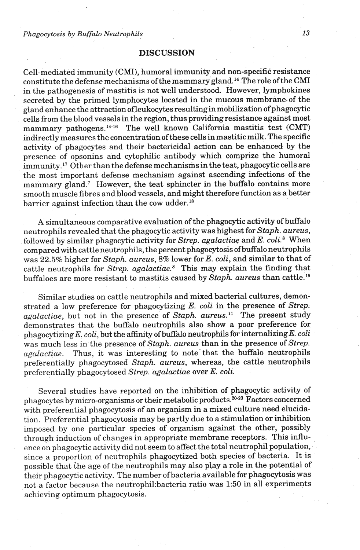*Phagocytosis by Buffalo Neutrophils* 

### **DISCUSSION**

Cell-mediated immunity (CMI), humoral immunity and non-specific resistance constitute the defense mechanisms of the mammary gland.14 The role ofthe CMI in the pathogenesis of mastitis is not well understood. However, lymphokines secreted by the primed lymphocytes located in the mucous membrane of the gland enhance the attraction of leukocytes resultingin mobilization of phagocytic cells from the blood vessels in the region, thus providingresistance against most mammary pathogens.<sup>14-16</sup> The well known California mastitis test (CMT) indirectly measures the concentration of these cells in mastitic milk. The specific activity of phagocytes and their bactericidal action can be enhanced by the presence of opsonins and cytophilic antibody which comprize the humoral immunity.17 Other than the defense mechanisms in the teat, phagocytic cells are the most important defense mechanism against ascending infections of the mammary gland.<sup>7</sup> However, the teat sphincter in the buffalo contains more smooth muscle fibres and blood vessels, and might therefore function as a better barrier against infection than the cow udder. $^{18}$ 

**A** simultaneous comparative evaluation of the phagocytic activity of buffalo neutrophils revealed that the phagocytic activity was highest for Staph. aureus, followed by similar phagocytic activity for Strep. agalactiae and *E. coli.*<sup>8</sup> When compared with cattle neutrophils, the percent phagocytosis of buffalo neutrophils was 22.5% higher for Staph. aureus, 8% lower for E. coli, and similar to that of cattle neutrophils for Strep. agalactiae. $8$  This may explain the finding that buffaloes are more resistant to mastitis caused by  $Staph$  aureus than cattle.<sup>19</sup>

Similar studies on cattle neutrophils and mixed bacterial cultures, demonstrated a low preference for phagocytizing  $E$ . coli in the presence of Strep.  $agalactiae$ , but not in the presence of Staph. aureus.<sup>11</sup> The present study demonstrates that the buffalo neutrophils also show a poor preference for phagocytizing  $E.$  coli, but the affinity of buffalo neutrophils for internalizing  $E.$  coli was much less in the presence of Staph. aureus than in the presence of Strep. agalactiae. Thus, it was interesting to note'that the buffalo neutrophils preferentially phagocytosed Staph. aureus, whereas, the cattle neutrophils preferentially phagocytosed Strep. agalactiae over E. coli.

Several studies have reported on the inhibition of phagocytic activity of phagocytes by micro-organisms or their metabolic products.<sup>20-23</sup> Factors concerned with preferential phagocytosis of an organism in a mixed culture need elucidation. Preferential phagocytosis may be partly due to a stimulation or inhibition imposed by one particular species of organism against the other, possibly through induction of changes in appropriate membrane receptors. This influence on phagocytic activity did not seem to affect the total neutrophil population, since a proportion of neutrophils phagocytized both species of bacteria. It is possible that the age of the neutrophils may also play a role in the potential of their phagocytic activity. The number of bacteria available for phagocytosis was not a factor because the neutrophi1:bacteria ratio was **1:50** in all experiments achieving optimum phagocytosis.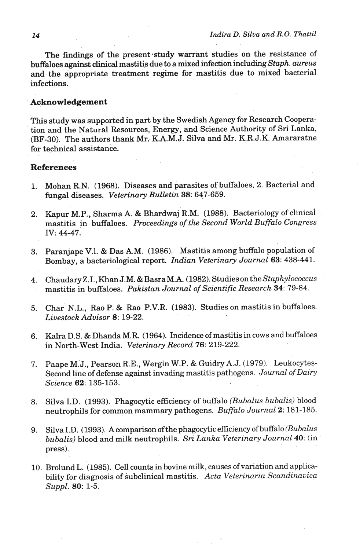The findings of the present-study warrant studies on the resistance of buffaloes against clinical mastitis due to a mixed infection including *Staph. aureus*  and the appropriate treatment regime for mastitis due to mixed bacterial infections.

### **Acknowledgement**

This study was supported in part by the Swedish Agency for Research Cooperation and the Natural Resources, Energy, and Science Authority of Sri Lanka, (BF-30). The authors thank Mr. K.A.M.J. Silva and Mr. K.R.J.K. Amararatne for technical assistance.

## **References**

- 1. Mohan R.N. (1968). Diseases and parasites of buffaloes. 2. Bacterial and fungal diseases. *Veterinary Bulletin* 38: 647-659.
- 2. Kapur M.P., Sharrna A. & Bhardwaj R.M. (1988). Bacteriology of clinical mastitis in buffaloes. *Proceedings of the Second World Buffalo Congress*  IV: 44-47.
- 3. Paranjape V.1. & Das A.M. (1986). Mastitis among buffalo population of Bombay, a bacteriological report. *Indian Veterinary Journal* **63:** 438-441.
- 4. Chaudary Z.I., Khan J.M. & Basra M.A. (1982). Studies on the Staphylococcus mastitis in buffaloes. *Pakistan Journal of Scientific Research* **34:** 79-84.
- 5. Char N.L., Rao P. & Rao P.V.R. (1983). Studies on mastitis in buffaloes. *Livestock Advisor* 8: 19-22.
- 6. Kalra D.S. & Dhanda M:R. (1964). Incidence of mastitis in cows and buffaloes in North-West India. *Veterinary Record* **76:** 219-222.
- 7. Paape M.'J., Pearson **R.E.,** Wergin W.P. & Guidry A.J. (1979). Leukocytes-Second line of defense against invading mastitis pathogens. *Journal of Dairy Science 62:* 135-153.
- 8. Silva I.D. (1993). Phagocytic efficiency of buffalo *(Bubalus bubalis)* blood neutrophils for common mammary pathogens. *Buffalo Journal* 2: 181-185.
- 9. Silva I.D. (1993). A comparison of the phagocytic efficiency of buffalo *(Bubalus bubalis)* blood and milk neutrophils. *Sri Lanka Veterinary Journal* **40:** (in ' press).
- 10. Brolund L. (1985). Cell counts in bovine milk, causes of variation and applicability for diagnosis of subclinical mastitis. *Acta Veterinaria Scandinavica Suppl. 80:* 1-5.